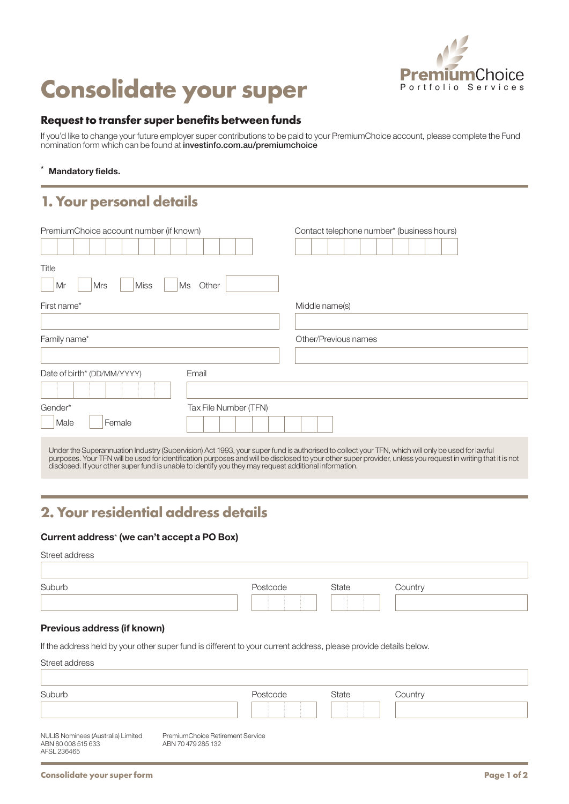

# **Consolidate your super** PremiumChoice

#### **Request to transfer super benefits between funds**

If you'd like to change your future employer super contributions to be paid to your PremiumChoice account, please complete the Fund nomination form which can be found at investinfo.com.au/premiumchoice

#### Mandatory fields.

### **1. Your personal details**

| PremiumChoice account number (if known)                                                                |                       | Contact telephone number* (business hours)                                                                                                                                                                                                                                                                      |
|--------------------------------------------------------------------------------------------------------|-----------------------|-----------------------------------------------------------------------------------------------------------------------------------------------------------------------------------------------------------------------------------------------------------------------------------------------------------------|
|                                                                                                        |                       |                                                                                                                                                                                                                                                                                                                 |
| Title                                                                                                  |                       |                                                                                                                                                                                                                                                                                                                 |
| Mr<br><b>Mrs</b><br><b>Miss</b>                                                                        | Ms<br>Other           |                                                                                                                                                                                                                                                                                                                 |
| First name*                                                                                            |                       | Middle name(s)                                                                                                                                                                                                                                                                                                  |
| Family name*                                                                                           |                       | Other/Previous names                                                                                                                                                                                                                                                                                            |
|                                                                                                        |                       |                                                                                                                                                                                                                                                                                                                 |
| Date of birth* (DD/MM/YYYY)                                                                            | Email                 |                                                                                                                                                                                                                                                                                                                 |
|                                                                                                        |                       |                                                                                                                                                                                                                                                                                                                 |
| Gender*                                                                                                | Tax File Number (TFN) |                                                                                                                                                                                                                                                                                                                 |
| Male<br>Female                                                                                         |                       |                                                                                                                                                                                                                                                                                                                 |
| disclosed. If your other super fund is unable to identify you they may request additional information. |                       | Under the Superannuation Industry (Supervision) Act 1993, your super fund is authorised to collect your TFN, which will only be used for lawful<br>purposes. Your TFN will be used for identification purposes and will be disclosed to your other super provider, unless you request in writing that it is not |

## **2. Your residential address details**

#### Current address\* (we can't accept a PO Box)

I

| Suburb<br>State<br>Postcode<br>Country |
|----------------------------------------|
|                                        |

#### Previous address (if known)

If the address held by your other super fund is different to your current address, please provide details below.

| Street address                                                          |                                                        |          |              |         |
|-------------------------------------------------------------------------|--------------------------------------------------------|----------|--------------|---------|
| Suburb                                                                  |                                                        | Postcode | <b>State</b> | Country |
|                                                                         |                                                        |          |              |         |
| NULIS Nominees (Australia) Limited<br>ABN 80 008 515 633<br>AFSL 236465 | PremiumChoice Retirement Service<br>ABN 70 479 285 132 |          |              |         |